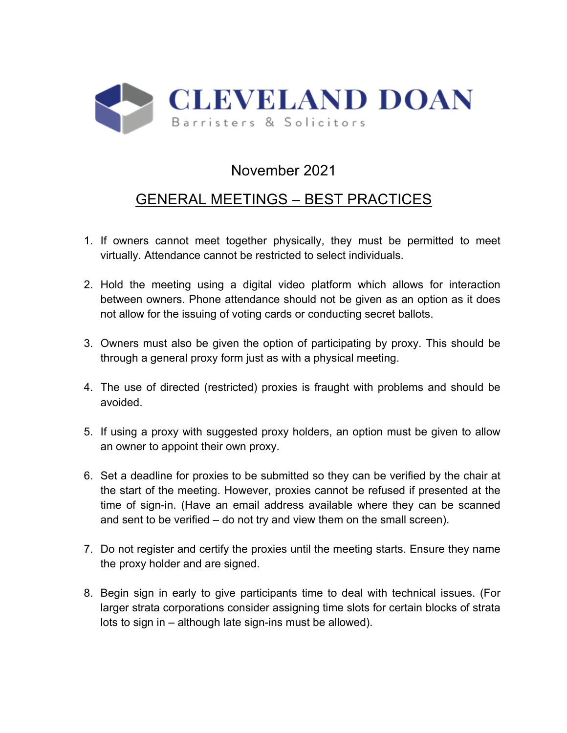

## November 2021

## GENERAL MEETINGS – BEST PRACTICES

- 1. If owners cannot meet together physically, they must be permitted to meet virtually. Attendance cannot be restricted to select individuals.
- 2. Hold the meeting using a digital video platform which allows for interaction between owners. Phone attendance should not be given as an option as it does not allow for the issuing of voting cards or conducting secret ballots.
- 3. Owners must also be given the option of participating by proxy. This should be through a general proxy form just as with a physical meeting.
- 4. The use of directed (restricted) proxies is fraught with problems and should be avoided.
- 5. If using a proxy with suggested proxy holders, an option must be given to allow an owner to appoint their own proxy.
- 6. Set a deadline for proxies to be submitted so they can be verified by the chair at the start of the meeting. However, proxies cannot be refused if presented at the time of sign-in. (Have an email address available where they can be scanned and sent to be verified – do not try and view them on the small screen).
- 7. Do not register and certify the proxies until the meeting starts. Ensure they name the proxy holder and are signed.
- 8. Begin sign in early to give participants time to deal with technical issues. (For larger strata corporations consider assigning time slots for certain blocks of strata lots to sign in – although late sign-ins must be allowed).